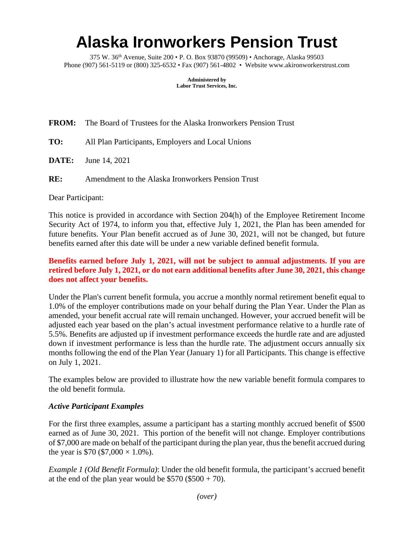# **Alaska Ironworkers Pension Trust**

375 W. 36th Avenue, Suite 200 • P. O. Box 93870 (99509) • Anchorage, Alaska 99503 Phone (907) 561-5119 or (800) 325-6532 • Fax (907) 561-4802 • Website www.akironworkerstrust.com

> **Administered by Labor Trust Services, Inc.**

**FROM:** The Board of Trustees for the Alaska Ironworkers Pension Trust

- **TO:** All Plan Participants, Employers and Local Unions
- **DATE:** June 14, 2021

**RE:** Amendment to the Alaska Ironworkers Pension Trust

Dear Participant:

This notice is provided in accordance with Section 204(h) of the Employee Retirement Income Security Act of 1974, to inform you that, effective July 1, 2021, the Plan has been amended for future benefits. Your Plan benefit accrued as of June 30, 2021, will not be changed, but future benefits earned after this date will be under a new variable defined benefit formula.

# **Benefits earned before July 1, 2021, will not be subject to annual adjustments. If you are retired before July 1, 2021, or do not earn additional benefits after June 30, 2021, this change does not affect your benefits.**

Under the Plan's current benefit formula, you accrue a monthly normal retirement benefit equal to 1.0% of the employer contributions made on your behalf during the Plan Year. Under the Plan as amended, your benefit accrual rate will remain unchanged. However, your accrued benefit will be adjusted each year based on the plan's actual investment performance relative to a hurdle rate of 5.5%. Benefits are adjusted up if investment performance exceeds the hurdle rate and are adjusted down if investment performance is less than the hurdle rate. The adjustment occurs annually six months following the end of the Plan Year (January 1) for all Participants. This change is effective on July 1, 2021.

The examples below are provided to illustrate how the new variable benefit formula compares to the old benefit formula.

### *Active Participant Examples*

For the first three examples, assume a participant has a starting monthly accrued benefit of \$500 earned as of June 30, 2021. This portion of the benefit will not change. Employer contributions of \$7,000 are made on behalf of the participant during the plan year, thus the benefit accrued during the year is \$70 (\$7,000  $\times$  1.0%).

*Example 1 (Old Benefit Formula)*: Under the old benefit formula, the participant's accrued benefit at the end of the plan year would be  $$570 ($500 + 70)$ .